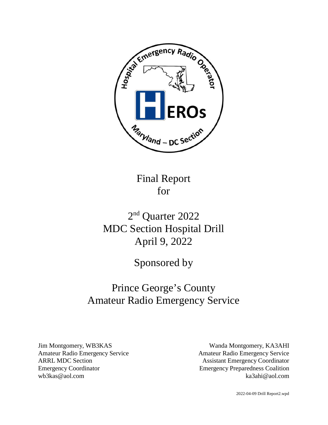

Final Report for

# 2<sup>nd</sup> Quarter 2022 MDC Section Hospital Drill April 9, 2022

Sponsored by

# Prince George's County Amateur Radio Emergency Service

Jim Montgomery, WB3KAS Amateur Radio Emergency Service ARRL MDC Section Emergency Coordinator wb3kas@aol.com

Wanda Montgomery, KA3AHI Amateur Radio Emergency Service Assistant Emergency Coordinator Emergency Preparedness Coalition ka3ahi@aol.com

2022-04-09 Drill Report2.wpd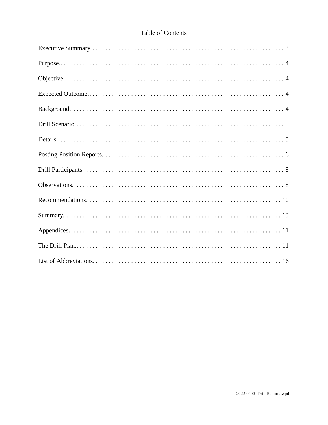# **Table of Contents**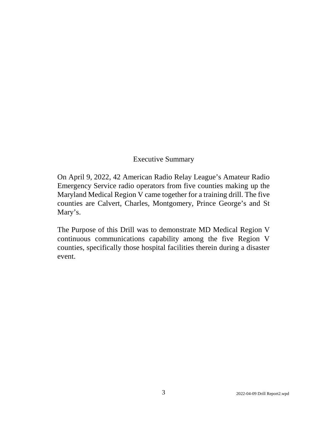# Executive Summary

On April 9, 2022, 42 American Radio Relay League's Amateur Radio Emergency Service radio operators from five counties making up the Maryland Medical Region V came together for a training drill. The five counties are Calvert, Charles, Montgomery, Prince George's and St Mary's.

The Purpose of this Drill was to demonstrate MD Medical Region V continuous communications capability among the five Region V counties, specifically those hospital facilities therein during a disaster event.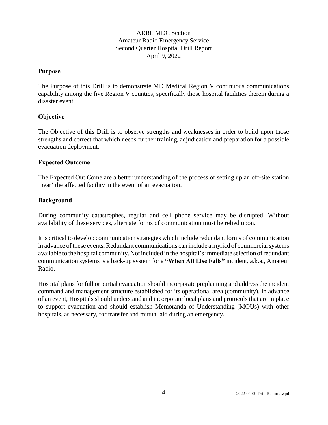## ARRL MDC Section Amateur Radio Emergency Service Second Quarter Hospital Drill Report April 9, 2022

#### **Purpose**

The Purpose of this Drill is to demonstrate MD Medical Region V continuous communications capability among the five Region V counties, specifically those hospital facilities therein during a disaster event.

#### **Objective**

The Objective of this Drill is to observe strengths and weaknesses in order to build upon those strengths and correct that which needs further training, adjudication and preparation for a possible evacuation deployment.

#### **Expected Outcome**

The Expected Out Come are a better understanding of the process of setting up an off-site station 'near' the affected facility in the event of an evacuation.

#### **Background**

During community catastrophes, regular and cell phone service may be disrupted. Without availability of these services, alternate forms of communication must be relied upon.

It is critical to develop communication strategies which include redundant forms of communication in advance of these events. Redundant communications can include a myriad of commercial systems available to the hospital community. Not included in the hospital's immediate selection of redundant communication systems is a back-up system for a **"When All Else Fails"** incident, a.k.a., Amateur Radio.

Hospital plans for full or partial evacuation should incorporate preplanning and address the incident command and management structure established for its operational area (community). In advance of an event, Hospitals should understand and incorporate local plans and protocols that are in place to support evacuation and should establish Memoranda of Understanding (MOUs) with other hospitals, as necessary, for transfer and mutual aid during an emergency.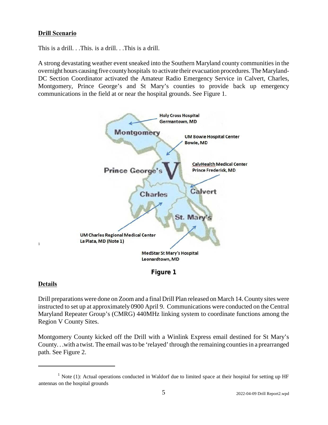## **Drill Scenario**

This is a drill. . .This, is a drill. . .This is a drill.

A strong devastating weather event sneaked into the Southern Maryland county communities in the overnight hours causing five county hospitals to activate their evacuation procedures. The Maryland-DC Section Coordinator activated the Amateur Radio Emergency Service in Calvert, Charles, Montgomery, Prince George's and St Mary's counties to provide back up emergency communications in the field at or near the hospital grounds. See Figure 1.



**Figure 1**

#### **Details**

1

Drill preparations were done on Zoom and a final Drill Plan released on March 14. County sites were instructed to set up at approximately 0900 April 9. Communications were conducted on the Central Maryland Repeater Group's (CMRG) 440MHz linking system to coordinate functions among the Region V County Sites.

Montgomery County kicked off the Drill with a Winlink Express email destined for St Mary's County. . .with a twist. The email was to be 'relayed' through the remaining counties in a prearranged path. See Figure 2.

 $1$  Note (1): Actual operations conducted in Waldorf due to limited space at their hospital for setting up HF antennas on the hospital grounds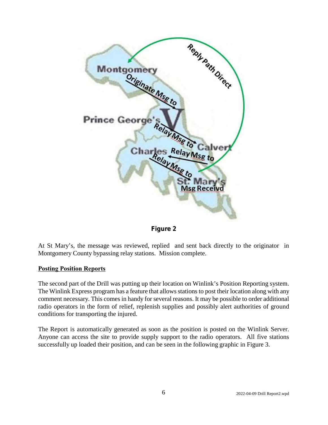



At St Mary's, the message was reviewed, replied and sent back directly to the originator in Montgomery County bypassing relay stations. Mission complete.

#### **Posting Position Reports**

The second part of the Drill was putting up their location on Winlink's Position Reporting system. The Winlink Express program has a feature that allows stations to post their location along with any comment necessary. This comes in handy for several reasons. It may be possible to order additional radio operators in the form of relief, replenish supplies and possibly alert authorities of ground conditions for transporting the injured.

The Report is automatically generated as soon as the position is posted on the Winlink Server. Anyone can access the site to provide supply support to the radio operators. All five stations successfully up loaded their position, and can be seen in the following graphic in Figure 3.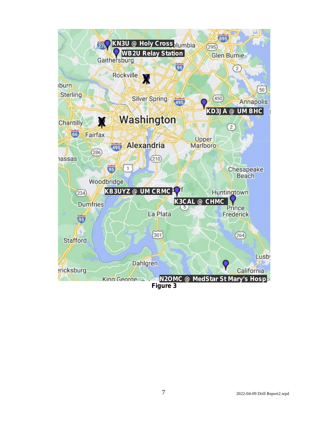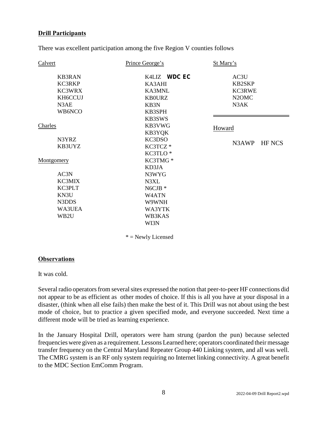### **Drill Participants**

There was excellent participation among the five Region V counties follows

| Calvert                                                        | Prince George's                                                     | St Mary's                                                                 |
|----------------------------------------------------------------|---------------------------------------------------------------------|---------------------------------------------------------------------------|
| <b>KB3RAN</b><br>KC3RKP<br>KC3WRX<br>KH6CCUJ<br>N3AE<br>WB6NCO | K4LIZ WDC EC<br>KA3AHI<br>KA3MNL<br><b>KB0URZ</b><br>KB3N<br>KB3SPH | AC3U<br><b>KB2SKP</b><br>KC3RWE<br>N <sub>2</sub> OM <sub>C</sub><br>N3AK |
| Charles                                                        | KB3SWS<br>KB3VWG<br>KB3YQK                                          | Howard                                                                    |
| N3YRZ<br>KB3UYZ                                                | KC3DSO<br>KC3TCZ*<br>KC3TLO <sup>*</sup>                            | N3AWP<br><b>HF NCS</b>                                                    |
| Montgomery                                                     | KC3TMG*<br>KD3JA                                                    |                                                                           |
| AC3N                                                           | N3WYG                                                               |                                                                           |
| KC3MIX                                                         | N3XL                                                                |                                                                           |
| KC3PLT                                                         | $NGCJB$ *                                                           |                                                                           |
| KN3U                                                           | W <sub>4</sub> ATN                                                  |                                                                           |
| N3DDS                                                          | W9WNH                                                               |                                                                           |
| WA3UEA                                                         | WA3YTK                                                              |                                                                           |
| WB2U                                                           | WB3KAS                                                              |                                                                           |
|                                                                | WI3N                                                                |                                                                           |
|                                                                | $*$ = Newly Licensed                                                |                                                                           |

#### **Observations**

It was cold.

Several radio operators from several sites expressed the notion that peer-to-peer HF connections did not appear to be as efficient as other modes of choice. If this is all you have at your disposal in a disaster, (think when all else fails) then make the best of it. This Drill was not about using the best mode of choice, but to practice a given specified mode, and everyone succeeded. Next time a different mode will be tried as learning experience.

In the January Hospital Drill, operators were ham strung (pardon the pun) because selected frequencies were given as a requirement. Lessons Learned here; operators coordinated their message transfer frequency on the Central Maryland Repeater Group 440 Linking system, and all was well. The CMRG system is an RF only system requiring no Internet linking connectivity. A great benefit to the MDC Section EmComm Program.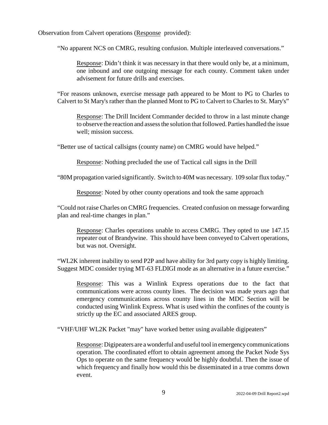Observation from Calvert operations (Response provided):

"No apparent NCS on CMRG, resulting confusion. Multiple interleaved conversations."

Response: Didn't think it was necessary in that there would only be, at a minimum, one inbound and one outgoing message for each county. Comment taken under advisement for future drills and exercises.

"For reasons unknown, exercise message path appeared to be Mont to PG to Charles to Calvert to St Mary's rather than the planned Mont to PG to Calvert to Charles to St. Mary's"

Response: The Drill Incident Commander decided to throw in a last minute change to observe the reaction and assess the solution that followed. Parties handled the issue well; mission success.

"Better use of tactical callsigns (county name) on CMRG would have helped."

Response: Nothing precluded the use of Tactical call signs in the Drill

"80M propagation varied significantly. Switch to 40M was necessary. 109 solar flux today."

Response: Noted by other county operations and took the same approach

"Could not raise Charles on CMRG frequencies. Created confusion on message forwarding plan and real-time changes in plan."

Response: Charles operations unable to access CMRG. They opted to use 147.15 repeater out of Brandywine. This should have been conveyed to Calvert operations, but was not. Oversight.

"WL2K inherent inability to send P2P and have ability for 3rd party copy is highly limiting. Suggest MDC consider trying MT-63 FLDIGI mode as an alternative in a future exercise."

Response: This was a Winlink Express operations due to the fact that communications were across county lines. The decision was made years ago that emergency communications across county lines in the MDC Section will be conducted using Winlink Express. What is used within the confines of the county is strictly up the EC and associated ARES group.

"VHF/UHF WL2K Packet "may" have worked better using available digipeaters"

Response: Digipeaters are a wonderful and useful tool in emergency communications operation. The coordinated effort to obtain agreement among the Packet Node Sys Ops to operate on the same frequency would be highly doubtful. Then the issue of which frequency and finally how would this be disseminated in a true comms down event.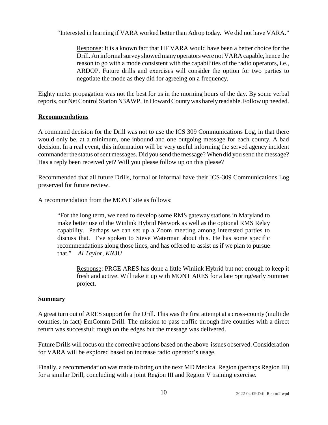"Interested in learning if VARA worked better than Adrop today. We did not have VARA."

Response: It is a known fact that HF VARA would have been a better choice for the Drill. An informal survey showed many operators were not VARA capable, hence the reason to go with a mode consistent with the capabilities of the radio operators, i.e., ARDOP. Future drills and exercises will consider the option for two parties to negotiate the mode as they did for agreeing on a frequency.

Eighty meter propagation was not the best for us in the morning hours of the day. By some verbal reports, our Net Control Station N3AWP, in Howard County was barely readable. Follow up needed.

#### **Recommendations**

A command decision for the Drill was not to use the ICS 309 Communications Log, in that there would only be, at a minimum, one inbound and one outgoing message for each county. A bad decision. In a real event, this information will be very useful informing the served agency incident commander the status of sent messages. Did you send the message? When did you send the message? Has a reply been received yet? Will you please follow up on this please?

Recommended that all future Drills, formal or informal have their ICS-309 Communications Log preserved for future review.

A recommendation from the MONT site as follows:

"For the long term, we need to develop some RMS gateway stations in Maryland to make better use of the Winlink Hybrid Network as well as the optional RMS Relay capability. Perhaps we can set up a Zoom meeting among interested parties to discuss that. I've spoken to Steve Waterman about this. He has some specific recommendations along those lines, and has offered to assist us if we plan to pursue that." *Al Taylor, KN3U*

Response: PRGE ARES has done a little Winlink Hybrid but not enough to keep it fresh and active. Will take it up with MONT ARES for a late Spring/early Summer project.

#### **Summary**

A great turn out of ARES support for the Drill. This was the first attempt at a cross-county (multiple counties, in fact) EmComm Drill. The mission to pass traffic through five counties with a direct return was successful; rough on the edges but the message was delivered.

Future Drills will focus on the corrective actions based on the above issues observed. Consideration for VARA will be explored based on increase radio operator's usage.

Finally, a recommendation was made to bring on the next MD Medical Region (perhaps Region III) for a similar Drill, concluding with a joint Region III and Region V training exercise.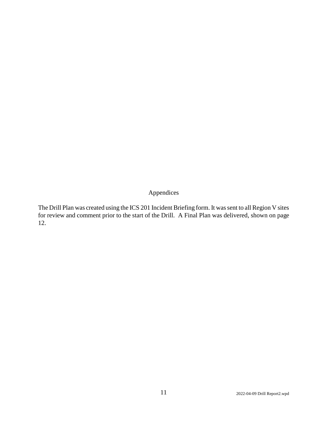# Appendices

The Drill Plan was created using the ICS 201 Incident Briefing form. It was sent to all Region V sites for review and comment prior to the start of the Drill. A Final Plan was delivered, shown on page 12.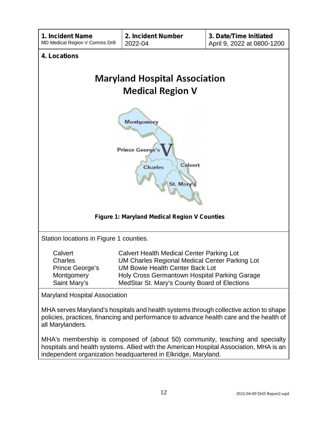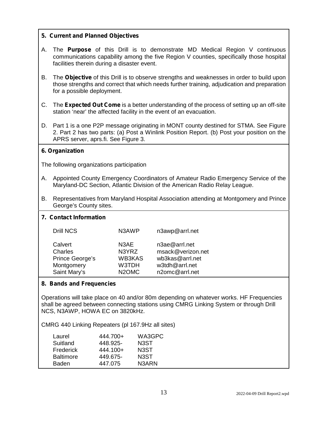## **5. Current and Planned Objectives**

- A. The **Purpose** of this Drill is to demonstrate MD Medical Region V continuous communications capability among the five Region V counties, specifically those hospital facilities therein during a disaster event.
- B. The **Objective** of this Drill is to observe strengths and weaknesses in order to build upon those strengths and correct that which needs further training, adjudication and preparation for a possible deployment.
- C. The **Expected Out Come** is a better understanding of the process of setting up an off-site station 'near' the affected facility in the event of an evacuation.
- D. Part 1 is a one P2P message originating in MONT county destined for STMA. See Figure 2. Part 2 has two parts: (a) Post a Winlink Position Report. (b) Post your position on the APRS server, aprs.fi. See Figure 3.

#### **6. Organization**

The following organizations participation

- A. Appointed County Emergency Coordinators of Amateur Radio Emergency Service of the Maryland-DC Section, Atlantic Division of the American Radio Relay League.
- B. Representatives from Maryland Hospital Association attending at Montgomery and Prince George's County sites.

| <b>Drill NCS</b>                                                    | N3AWP                                                                           | n3awp@arrl.net                                                                            |
|---------------------------------------------------------------------|---------------------------------------------------------------------------------|-------------------------------------------------------------------------------------------|
| Calvert<br>Charles<br>Prince George's<br>Montgomery<br>Saint Mary's | N <sub>3</sub> AE<br>N3YRZ<br>WB3KAS<br>W3TDH<br>N <sub>2</sub> OM <sub>C</sub> | n3ae@arrl.net<br>msack@verizon.net<br>wb3kas@arrl.net<br>w3tdh@arrl.net<br>n2omc@arrl.net |

#### **8. Bands and Frequencies**

**7. Contact Information**

Operations will take place on 40 and/or 80m depending on whatever works. HF Frequencies shall be agreed between connecting stations using CMRG Linking System or through Drill NCS, N3AWP, HOWA EC on 3820kHz.

CMRG 440 Linking Repeaters (pl 167.9Hz all sites)

| Laurel           | 444.700+ | WA3GPC            |
|------------------|----------|-------------------|
| Suitland         | 448.925- | N <sub>3</sub> ST |
| Frederick        | 444.100+ | N3ST              |
| <b>Baltimore</b> | 449.675- | N <sub>3</sub> ST |
| Baden            | 447.075  | N3ARN             |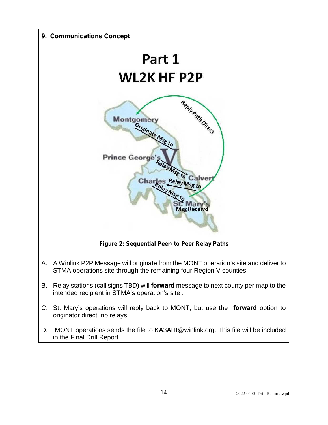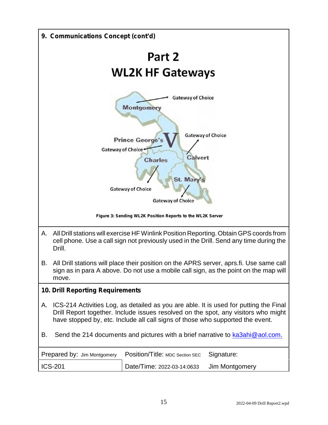| 9. Communications Concept (cont'd)                                                                                                                                                                                                                                  |  |  |  |
|---------------------------------------------------------------------------------------------------------------------------------------------------------------------------------------------------------------------------------------------------------------------|--|--|--|
| Part 2                                                                                                                                                                                                                                                              |  |  |  |
| <b>WL2K HF Gateways</b>                                                                                                                                                                                                                                             |  |  |  |
| <b>Gateway of Choice</b><br>Montgomery<br><b>Gateway of Choice</b><br><b>Prince George's</b><br>Gateway of Choice <sup>4</sup><br>Calvert<br><b>Charles</b><br>St. Mary<br><b>Gateway of Choice</b><br><b>Gateway of Choice</b>                                     |  |  |  |
| Figure 3: Sending WL2K Position Reports to the WL2K Server                                                                                                                                                                                                          |  |  |  |
| Α.<br>All Drill stations will exercise HF Winlink Position Reporting. Obtain GPS coords from<br>cell phone. Use a call sign not previously used in the Drill. Send any time during the<br>Drill.                                                                    |  |  |  |
| All Drill stations will place their position on the APRS server, aprs.fi. Use same call<br>В.<br>sign as in para A above. Do not use a mobile call sign, as the point on the map will<br>move.                                                                      |  |  |  |
| <b>10. Drill Reporting Requirements</b>                                                                                                                                                                                                                             |  |  |  |
| ICS-214 Activities Log, as detailed as you are able. It is used for putting the Final<br>Α.<br>Drill Report together. Include issues resolved on the spot, any visitors who might<br>have stopped by, etc. Include all call signs of those who supported the event. |  |  |  |
| Send the 214 documents and pictures with a brief narrative to ka3ahi@aol.com.<br>В.                                                                                                                                                                                 |  |  |  |
| Position/Title: MDC Section SEC<br>Signature:<br>Prepared by: Jim Montgomery                                                                                                                                                                                        |  |  |  |
| <b>ICS-201</b><br>Date/Time: 2022-03-14:0633<br>Jim Montgomery                                                                                                                                                                                                      |  |  |  |